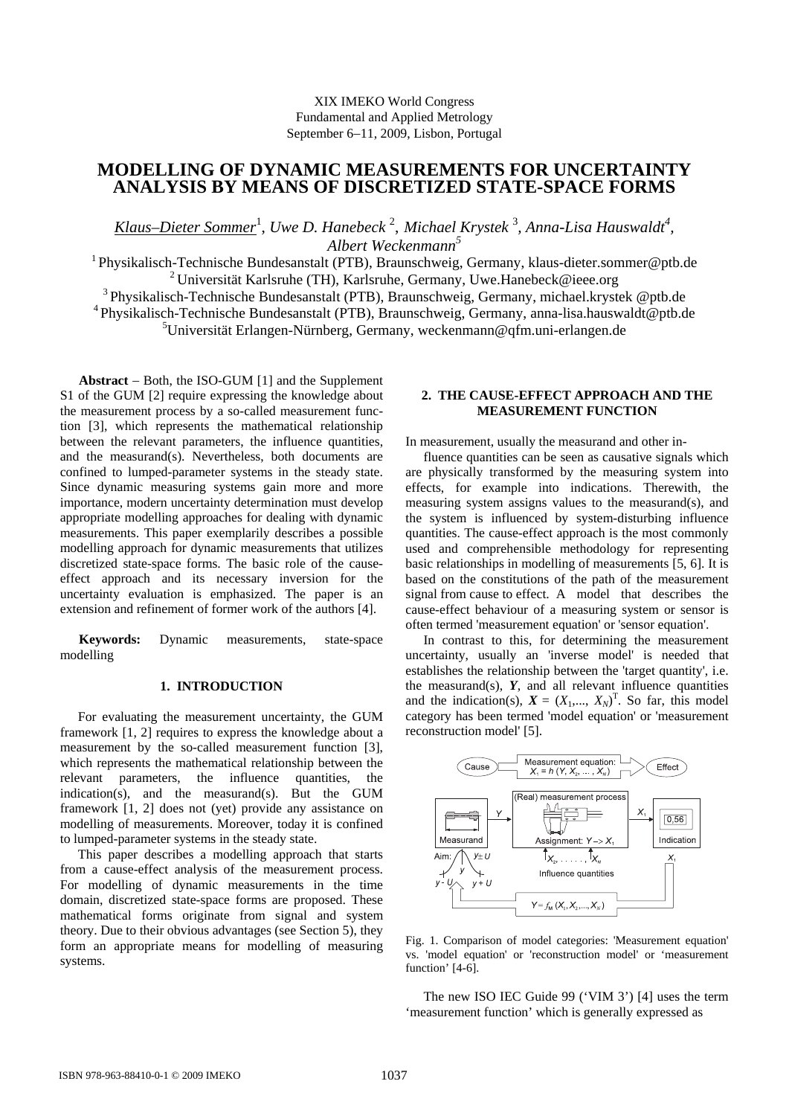XIX IMEKO World Congress Fundamental and Applied Metrology September 6−11, 2009, Lisbon, Portugal

# **MODELLING OF DYNAMIC MEASUREMENTS FOR UNCERTAINTY ANALYSIS BY MEANS OF DISCRETIZED STATE-SPACE FORMS**

Klaus–Dieter Sommer<sup>1</sup>, Uwe D. Hanebeck<sup>2</sup>, Michael Krystek<sup>3</sup>, Anna-Lisa Hauswaldt<sup>4</sup>, *Albert Weckenmann5*

1 Physikalisch-Technische Bundesanstalt (PTB), Braunschweig, Germany, klaus-dieter.sommer@ptb.de <sup>2</sup> Universität Karlsruhe (TH), Karlsruhe, Germany, Uwe.Hanebeck@ieee.org 3 Physikalisch-Technische Bundesanstalt (PTB), Braunschweig, Germany, michael.krystek @ptb.de 4 Physikalisch-Technische Bundesanstalt (PTB), Braunschweig, Germany, anna-lisa.hauswaldt@ptb.de 5 Universität Erlangen-Nürnberg, Germany, weckenmann@qfm.uni-erlangen.de

**Abstract** − Both, the ISO-GUM [1] and the Supplement S1 of the GUM [2] require expressing the knowledge about the measurement process by a so-called measurement function [3], which represents the mathematical relationship between the relevant parameters, the influence quantities, and the measurand(s). Nevertheless, both documents are confined to lumped-parameter systems in the steady state. Since dynamic measuring systems gain more and more importance, modern uncertainty determination must develop appropriate modelling approaches for dealing with dynamic measurements. This paper exemplarily describes a possible modelling approach for dynamic measurements that utilizes discretized state-space forms. The basic role of the causeeffect approach and its necessary inversion for the uncertainty evaluation is emphasized. The paper is an extension and refinement of former work of the authors [4].

**Keywords:** Dynamic measurements, state-space modelling

# **1. INTRODUCTION**

 For evaluating the measurement uncertainty, the GUM framework [1, 2] requires to express the knowledge about a measurement by the so-called measurement function [3], which represents the mathematical relationship between the relevant parameters, the influence quantities, the indication(s), and the measurand(s). But the GUM framework [1, 2] does not (yet) provide any assistance on modelling of measurements. Moreover, today it is confined to lumped-parameter systems in the steady state.

 This paper describes a modelling approach that starts from a cause-effect analysis of the measurement process. For modelling of dynamic measurements in the time domain, discretized state-space forms are proposed. These mathematical forms originate from signal and system theory. Due to their obvious advantages (see Section 5), they form an appropriate means for modelling of measuring systems.

# **2. THE CAUSE-EFFECT APPROACH AND THE MEASUREMENT FUNCTION**

In measurement, usually the measurand and other in-

 fluence quantities can be seen as causative signals which are physically transformed by the measuring system into effects, for example into indications. Therewith, the measuring system assigns values to the measurand(s), and the system is influenced by system-disturbing influence quantities. The cause-effect approach is the most commonly used and comprehensible methodology for representing basic relationships in modelling of measurements [5, 6]. It is based on the constitutions of the path of the measurement signal from cause to effect. A model that describes the cause-effect behaviour of a measuring system or sensor is often termed 'measurement equation' or 'sensor equation'.

 In contrast to this, for determining the measurement uncertainty, usually an 'inverse model' is needed that establishes the relationship between the 'target quantity', i.e. the measurand(s), *Y*, and all relevant influence quantities and the indication(s),  $X = (X_1,..., X_N)^T$ . So far, this model category has been termed 'model equation' or 'measurement reconstruction model' [5].



Fig. 1. Comparison of model categories: 'Measurement equation' vs. 'model equation' or 'reconstruction model' or 'measurement function' [4-6].

 The new ISO IEC Guide 99 ('VIM 3') [4] uses the term 'measurement function' which is generally expressed as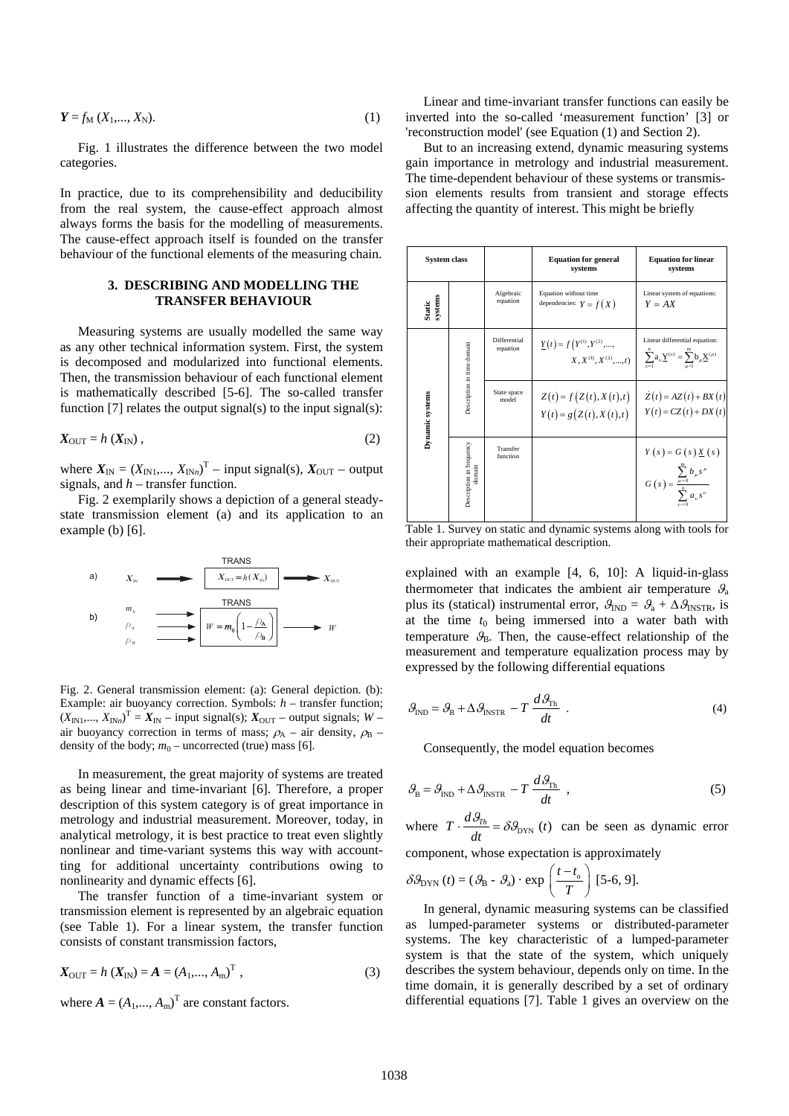$$
Y = f_{\mathcal{M}}(X_1, ..., X_{\mathcal{N}}). \tag{1}
$$

 Fig. 1 illustrates the difference between the two model categories.

In practice, due to its comprehensibility and deducibility from the real system, the cause-effect approach almost always forms the basis for the modelling of measurements. The cause-effect approach itself is founded on the transfer behaviour of the functional elements of the measuring chain.

## **3. DESCRIBING AND MODELLING THE TRANSFER BEHAVIOUR**

 Measuring systems are usually modelled the same way as any other technical information system. First, the system is decomposed and modularized into functional elements. Then, the transmission behaviour of each functional element is mathematically described [5-6]. The so-called transfer function [7] relates the output signal(s) to the input signal(s):

$$
X_{\text{OUT}} = h\left(X_{\text{IN}}\right),\tag{2}
$$

where  $X_{\text{IN}} = (X_{\text{IN1}},..., X_{\text{INn}})^{\text{T}}$  – input signal(s),  $X_{\text{OUT}}$  – output signals, and *h* – transfer function.

 Fig. 2 exemplarily shows a depiction of a general steadystate transmission element (a) and its application to an example (b) [6].



Fig. 2. General transmission element: (a): General depiction. (b): Example: air buoyancy correction. Symbols: *h* – transfer function;  $(X_{\text{IN1}},..., X_{\text{INn}})^{\text{T}} = X_{\text{IN}} - \text{input signal(s)}$ ;  $X_{\text{OUT}} - \text{output signals}$ ;  $W$ air buoyancy correction in terms of mass;  $\rho_A$  – air density,  $\rho_B$  – density of the body;  $m_0$  – uncorrected (true) mass [6].

 In measurement, the great majority of systems are treated as being linear and time-invariant [6]. Therefore, a proper description of this system category is of great importance in metrology and industrial measurement. Moreover, today, in analytical metrology, it is best practice to treat even slightly nonlinear and time-variant systems this way with accountting for additional uncertainty contributions owing to nonlinearity and dynamic effects [6].

 The transfer function of a time-invariant system or transmission element is represented by an algebraic equation (see Table 1). For a linear system, the transfer function consists of constant transmission factors,

$$
X_{\text{OUT}} = h(X_{\text{IN}}) = A = (A_1, ..., A_{\text{m}})^{\text{T}},
$$
\n(3)

where  $A = (A_1, ..., A_m)^T$  are constant factors.

 Linear and time-invariant transfer functions can easily be inverted into the so-called 'measurement function' [3] or 'reconstruction model' (see Equation (1) and Section 2).

 But to an increasing extend, dynamic measuring systems gain importance in metrology and industrial measurement. The time-dependent behaviour of these systems or transmission elements results from transient and storage effects affecting the quantity of interest. This might be briefly

| <b>System class</b> |                                    |                          | <b>Equation for general</b><br>systems                                              | <b>Equation for linear</b><br>systems                                                                                    |
|---------------------|------------------------------------|--------------------------|-------------------------------------------------------------------------------------|--------------------------------------------------------------------------------------------------------------------------|
| systems<br>Static   |                                    | Algebraic<br>equation    | Equation without time<br>dependencies: $Y = f(X)$                                   | Linear system of equations:<br>$Y = AX$                                                                                  |
| Dynamic systems     | Oescription in time domain         | Differential<br>equation | $\underline{Y}(t) = f(Y^{(1)}, Y^{(2)}, \dots,$<br>$X, X^{(1)}, X^{(2)}, \ldots, t$ | Linear differential equation:<br>$\sum_{i=1}^{n} a_{i} \underline{Y}^{(i)} = \sum_{i=1}^{n} b_{i} \underline{X}^{(i)}$   |
|                     |                                    | State space<br>model     | $Z(t) = f(Z(t), X(t), t)$<br>$Y(t) = g(Z(t), X(t), t)$                              | $\dot{Z}(t) = AZ(t) + BX(t)$<br>$Y(t) = CZ(t) + DX(t)$                                                                   |
|                     | Description in frequency<br>domain | Transfer<br>function     |                                                                                     | $Y(s) = G(s) \underline{X}(s)$<br>$G(s) = \frac{\sum_{\mu=0}^{m} b_{\mu} s^{\mu}}{\sum_{\lambda=0}^{n} a_{\nu} s^{\nu}}$ |

Table 1. Survey on static and dynamic systems along with tools for their appropriate mathematical description.

explained with an example [4, 6, 10]: A liquid-in-glass thermometer that indicates the ambient air temperature  $\mathcal{G}_a$ plus its (statical) instrumental error,  $\mathcal{G}_{IND} = \mathcal{G}_a + \Delta \mathcal{G}_{INSTR}$ , is at the time  $t_0$  being immersed into a water bath with temperature  $\mathcal{G}_B$ . Then, the cause-effect relationship of the measurement and temperature equalization process may by expressed by the following differential equations

$$
\mathcal{G}_{\text{IND}} = \mathcal{G}_{\text{B}} + \Delta \mathcal{G}_{\text{INSTR}} - T \frac{d \mathcal{G}_{\text{Th}}}{dt} \tag{4}
$$

Consequently, the model equation becomes

$$
\mathcal{G}_{\rm B} = \mathcal{G}_{\rm IND} + \Delta \mathcal{G}_{\rm INSTR} - T \frac{d \mathcal{G}_{\rm Th}}{dt} \tag{5}
$$

where  $T \cdot \frac{d \theta_{Th}}{dt} = \delta \theta_{\text{DYN}}(t)$  can be seen as dynamic error

component, whose expectation is approximately

$$
\delta \mathcal{G}_{\rm DYN}(t) = (\mathcal{G}_{\rm B} - \mathcal{G}_{\rm a}) \cdot \exp\left(\frac{t-t_{\rm o}}{T}\right)
$$
 [5-6, 9].

 In general, dynamic measuring systems can be classified as lumped-parameter systems or distributed-parameter systems. The key characteristic of a lumped-parameter system is that the state of the system, which uniquely describes the system behaviour, depends only on time. In the time domain, it is generally described by a set of ordinary differential equations [7]. Table 1 gives an overview on the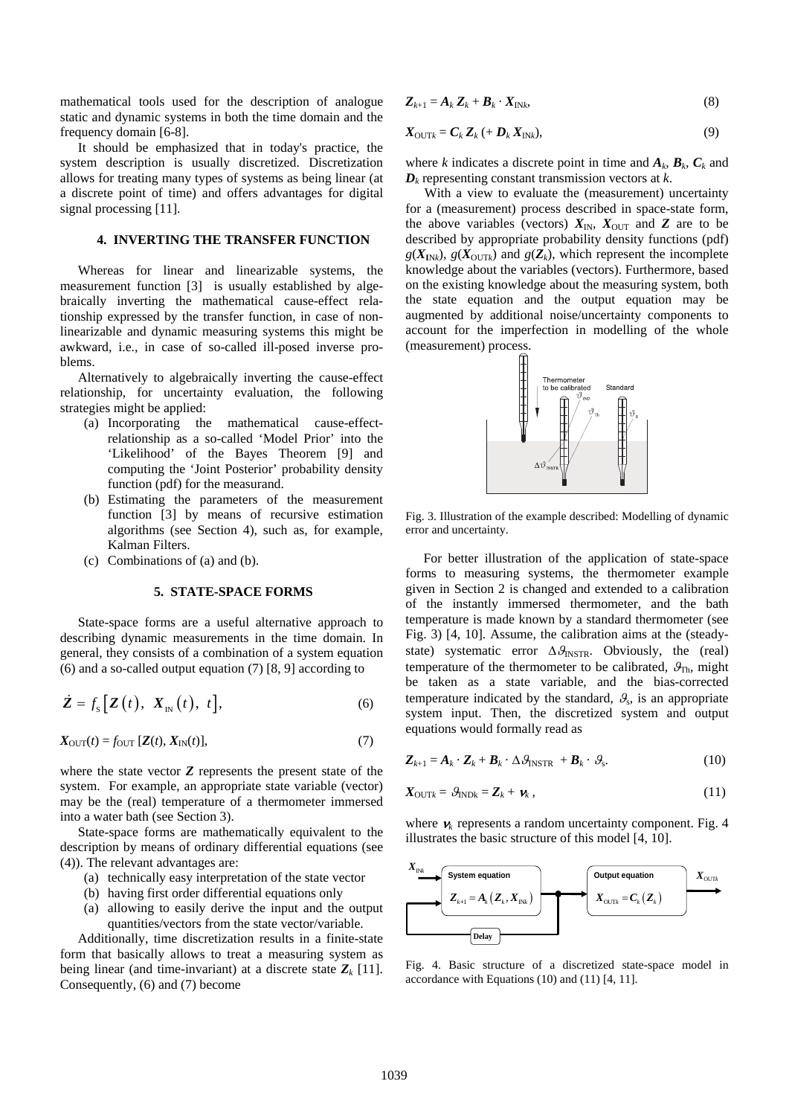mathematical tools used for the description of analogue static and dynamic systems in both the time domain and the frequency domain [6-8].

It should be emphasized that in today's practice, the system description is usually discretized. Discretization allows for treating many types of systems as being linear (at a discrete point of time) and offers advantages for digital signal processing [11].

## **4. INVERTING THE TRANSFER FUNCTION**

 Whereas for linear and linearizable systems, the measurement function [3] is usually established by algebraically inverting the mathematical cause-effect relationship expressed by the transfer function, in case of nonlinearizable and dynamic measuring systems this might be awkward, i.e., in case of so-called ill-posed inverse problems.

 Alternatively to algebraically inverting the cause-effect relationship, for uncertainty evaluation, the following strategies might be applied:

- (a) Incorporating the mathematical cause-effectrelationship as a so-called 'Model Prior' into the 'Likelihood' of the Bayes Theorem [9] and computing the 'Joint Posterior' probability density function (pdf) for the measurand.
- (b) Estimating the parameters of the measurement function [3] by means of recursive estimation algorithms (see Section 4), such as, for example, Kalman Filters.
- (c) Combinations of (a) and (b).

#### **5. STATE-SPACE FORMS**

State-space forms are a useful alternative approach to describing dynamic measurements in the time domain. In general, they consists of a combination of a system equation (6) and a so-called output equation (7) [8, 9] according to

$$
\dot{\mathbf{Z}} = f_{\rm s} \left[ \mathbf{Z} \left( t \right), \; X_{\rm m} \left( t \right), \; t \right], \tag{6}
$$

$$
X_{\text{OUT}}(t) = f_{\text{OUT}}\left[Z(t), X_{\text{IN}}(t)\right],\tag{7}
$$

where the state vector *Z* represents the present state of the system. For example, an appropriate state variable (vector) may be the (real) temperature of a thermometer immersed into a water bath (see Section 3).

 State-space forms are mathematically equivalent to the description by means of ordinary differential equations (see (4)). The relevant advantages are:

- (a) technically easy interpretation of the state vector
- (b) having first order differential equations only
- (a) allowing to easily derive the input and the output quantities/vectors from the state vector/variable.

 Additionally, time discretization results in a finite-state form that basically allows to treat a measuring system as being linear (and time-invariant) at a discrete state  $\mathbf{Z}_k$  [11]. Consequently, (6) and (7) become

$$
\mathbf{Z}_{k+1} = \mathbf{A}_k \, \mathbf{Z}_k + \mathbf{B}_k \cdot \mathbf{X}_{\text{IN}k},\tag{8}
$$

$$
X_{\text{OUT}k} = C_k Z_k (+ D_k X_{\text{IN}k}),\tag{9}
$$

where *k* indicates a discrete point in time and  $A_k$ ,  $B_k$ ,  $C_k$  and *Dk* representing constant transmission vectors at *k*.

With a view to evaluate the (measurement) uncertainty for a (measurement) process described in space-state form, the above variables (vectors)  $X_{\text{IN}}$ ,  $X_{\text{OUT}}$  and  $Z$  are to be described by appropriate probability density functions (pdf)  $g(X_{\text{INk}})$ ,  $g(X_{\text{OUTk}})$  and  $g(Z_k)$ , which represent the incomplete knowledge about the variables (vectors). Furthermore, based on the existing knowledge about the measuring system, both the state equation and the output equation may be augmented by additional noise/uncertainty components to account for the imperfection in modelling of the whole (measurement) process.



Fig. 3. Illustration of the example described: Modelling of dynamic error and uncertainty.

For better illustration of the application of state-space forms to measuring systems, the thermometer example given in Section 2 is changed and extended to a calibration of the instantly immersed thermometer, and the bath temperature is made known by a standard thermometer (see Fig. 3) [4, 10]. Assume, the calibration aims at the (steadystate) systematic error  $\Delta \mathcal{G}_{INSTR}$ . Obviously, the (real) temperature of the thermometer to be calibrated,  $\mathcal{G}_{\text{Th}}$ , might be taken as a state variable, and the bias-corrected temperature indicated by the standard,  $\mathcal{G}_s$ , is an appropriate system input. Then, the discretized system and output equations would formally read as

$$
\mathbf{Z}_{k+1} = \mathbf{A}_k \cdot \mathbf{Z}_k + \mathbf{B}_k \cdot \Delta \mathbf{G}_{\text{INSTR}} + \mathbf{B}_k \cdot \mathbf{G}_s. \tag{10}
$$

$$
\mathbf{X}_{\text{OUT}k} = \mathbf{S}_{\text{INDK}} = \mathbf{Z}_k + \mathbf{v}_k, \qquad (11)
$$

where  $v_k$  represents a random uncertainty component. Fig. 4 illustrates the basic structure of this model [4, 10].



Fig. 4. Basic structure of a discretized state-space model in accordance with Equations (10) and (11) [4, 11].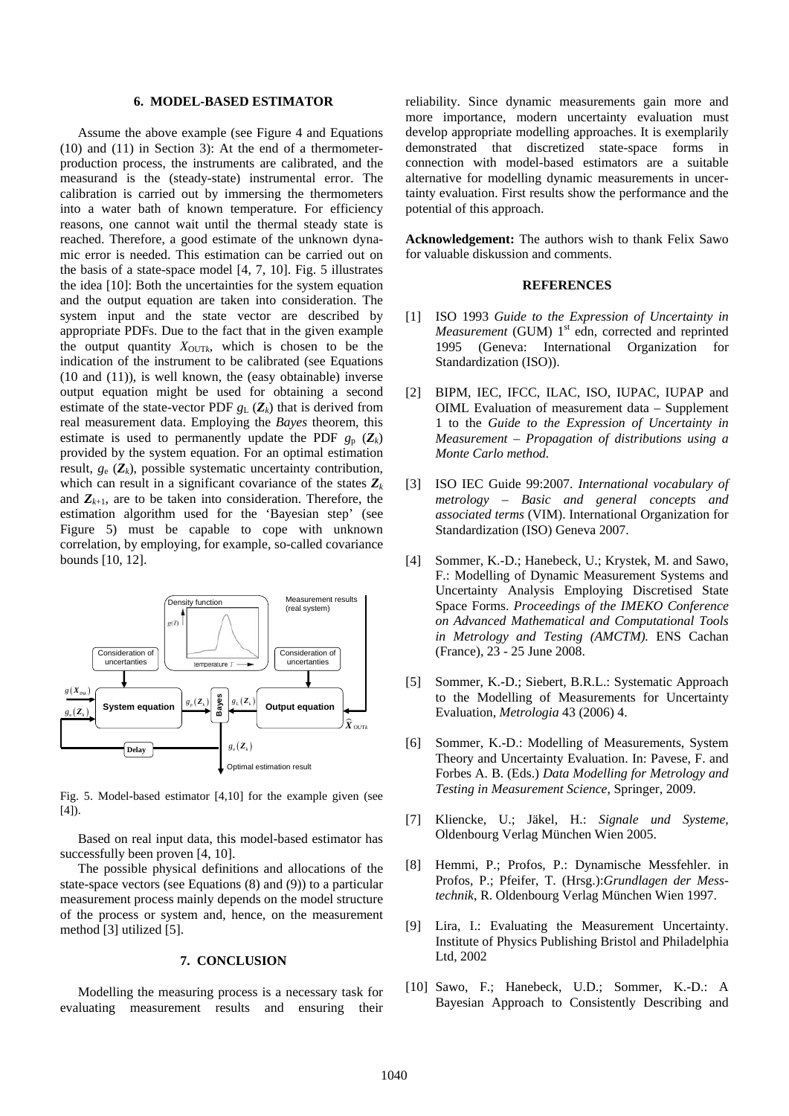#### **6. MODEL-BASED ESTIMATOR**

Assume the above example (see Figure 4 and Equations (10) and (11) in Section 3): At the end of a thermometerproduction process, the instruments are calibrated, and the measurand is the (steady-state) instrumental error. The calibration is carried out by immersing the thermometers into a water bath of known temperature. For efficiency reasons, one cannot wait until the thermal steady state is reached. Therefore, a good estimate of the unknown dynamic error is needed. This estimation can be carried out on the basis of a state-space model [4, 7, 10]. Fig. 5 illustrates the idea [10]: Both the uncertainties for the system equation and the output equation are taken into consideration. The system input and the state vector are described by appropriate PDFs. Due to the fact that in the given example the output quantity  $X_{\text{OUT}k}$ , which is chosen to be the indication of the instrument to be calibrated (see Equations (10 and (11)), is well known, the (easy obtainable) inverse output equation might be used for obtaining a second estimate of the state-vector PDF  $g_L$  ( $\mathbb{Z}_k$ ) that is derived from real measurement data. Employing the *Bayes* theorem, this estimate is used to permanently update the PDF  $g_p$  ( $\mathbb{Z}_k$ ) provided by the system equation. For an optimal estimation result,  $g_e$  ( $\mathbb{Z}_k$ ), possible systematic uncertainty contribution, which can result in a significant covariance of the states *Z<sup>k</sup>* and  $Z_{k+1}$ , are to be taken into consideration. Therefore, the estimation algorithm used for the 'Bayesian step' (see Figure 5) must be capable to cope with unknown correlation, by employing, for example, so-called covariance bounds [10, 12].



Fig. 5. Model-based estimator [4,10] for the example given (see  $[4]$ ).

Based on real input data, this model-based estimator has successfully been proven [4, 10].

 The possible physical definitions and allocations of the state-space vectors (see Equations (8) and (9)) to a particular measurement process mainly depends on the model structure of the process or system and, hence, on the measurement method [3] utilized [5].

#### **7. CONCLUSION**

 Modelling the measuring process is a necessary task for evaluating measurement results and ensuring their reliability. Since dynamic measurements gain more and more importance, modern uncertainty evaluation must develop appropriate modelling approaches. It is exemplarily demonstrated that discretized state-space forms in connection with model-based estimators are a suitable alternative for modelling dynamic measurements in uncertainty evaluation. First results show the performance and the potential of this approach.

**Acknowledgement:** The authors wish to thank Felix Sawo for valuable diskussion and comments.

### **REFERENCES**

- [1] ISO 1993 *Guide to the Expression of Uncertainty in Measurement* (GUM) 1<sup>st</sup> edn, corrected and reprinted 1995 (Geneva: International Organization for Standardization (ISO)).
- [2] BIPM, IEC, IFCC, ILAC, ISO, IUPAC, IUPAP and OIML Evaluation of measurement data – Supplement 1 to the *Guide to the Expression of Uncertainty in Measurement* – *Propagation of distributions using a Monte Carlo method.*
- [3] ISO IEC Guide 99:2007. *International vocabulary of metrology – Basic and general concepts and associated terms* (VIM). International Organization for Standardization (ISO) Geneva 2007.
- [4] Sommer, K.-D.; Hanebeck, U.; Krystek, M. and Sawo, F.: Modelling of Dynamic Measurement Systems and Uncertainty Analysis Employing Discretised State Space Forms. *Proceedings of the IMEKO Conference on Advanced Mathematical and Computational Tools in Metrology and Testing (AMCTM).* ENS Cachan (France), 23 - 25 June 2008.
- [5] Sommer, K.-D.; Siebert, B.R.L.: Systematic Approach to the Modelling of Measurements for Uncertainty Evaluation, *Metrologia* 43 (2006) 4.
- [6] Sommer, K.-D.: Modelling of Measurements, System Theory and Uncertainty Evaluation. In: Pavese, F. and Forbes A. B. (Eds.) *Data Modelling for Metrology and Testing in Measurement Science*, Springer, 2009.
- [7] Kliencke, U.; Jäkel, H.: *Signale und Systeme*, Oldenbourg Verlag München Wien 2005.
- [8] Hemmi, P.; Profos, P.: Dynamische Messfehler. in Profos, P.; Pfeifer, T. (Hrsg.):*Grundlagen der Messtechnik*, R. Oldenbourg Verlag München Wien 1997.
- [9] Lira, I.: Evaluating the Measurement Uncertainty. Institute of Physics Publishing Bristol and Philadelphia Ltd, 2002
- [10] Sawo, F.; Hanebeck, U.D.; Sommer, K.-D.: A Bayesian Approach to Consistently Describing and